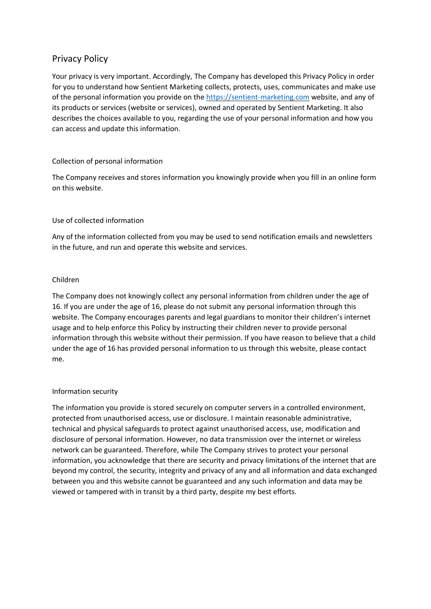# Privacy Policy

Your privacy is very important. Accordingly, The Company has developed this Privacy Policy in order for you to understand how Sentient Marketing collects, protects, uses, communicates and make use of the personal information you provide on the [https://sentient-marketing.com](https://sentient-marketing.com/) website, and any of its products or services (website or services), owned and operated by Sentient Marketing. It also describes the choices available to you, regarding the use of your personal information and how you can access and update this information.

# Collection of personal information

The Company receives and stores information you knowingly provide when you fill in an online form on this website.

# Use of collected information

Any of the information collected from you may be used to send notification emails and newsletters in the future, and run and operate this website and services.

## Children

The Company does not knowingly collect any personal information from children under the age of 16. If you are under the age of 16, please do not submit any personal information through this website. The Company encourages parents and legal guardians to monitor their children's internet usage and to help enforce this Policy by instructing their children never to provide personal information through this website without their permission. If you have reason to believe that a child under the age of 16 has provided personal information to us through this website, please contact me.

# Information security

The information you provide is stored securely on computer servers in a controlled environment, protected from unauthorised access, use or disclosure. I maintain reasonable administrative, technical and physical safeguards to protect against unauthorised access, use, modification and disclosure of personal information. However, no data transmission over the internet or wireless network can be guaranteed. Therefore, while The Company strives to protect your personal information, you acknowledge that there are security and privacy limitations of the internet that are beyond my control, the security, integrity and privacy of any and all information and data exchanged between you and this website cannot be guaranteed and any such information and data may be viewed or tampered with in transit by a third party, despite my best efforts.